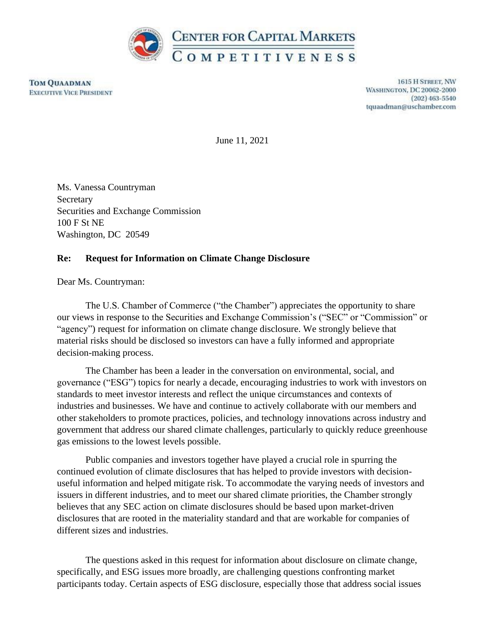

**TOM QUAADMAN EXECUTIVE VICE PRESIDENT** 

1615 H STREET, NW **WASHINGTON, DC 20062-2000**  $(202)$  463-5540 tquaadman@uschamber.com

June 11, 2021

Ms. Vanessa Countryman Secretary Securities and Exchange Commission 100 F St NE Washington, DC 20549

### **Re: Request for Information on Climate Change Disclosure**

Dear Ms. Countryman:

The U.S. Chamber of Commerce ("the Chamber") appreciates the opportunity to share our views in response to the Securities and Exchange Commission's ("SEC" or "Commission" or "agency") request for information on climate change disclosure. We strongly believe that material risks should be disclosed so investors can have a fully informed and appropriate decision-making process.

The Chamber has been a leader in the conversation on environmental, social, and governance ("ESG") topics for nearly a decade, encouraging industries to work with investors on standards to meet investor interests and reflect the unique circumstances and contexts of industries and businesses. We have and continue to actively collaborate with our members and other stakeholders to promote practices, policies, and technology innovations across industry and government that address our shared climate challenges, particularly to quickly reduce greenhouse gas emissions to the lowest levels possible.

Public companies and investors together have played a crucial role in spurring the continued evolution of climate disclosures that has helped to provide investors with decisionuseful information and helped mitigate risk. To accommodate the varying needs of investors and issuers in different industries, and to meet our shared climate priorities, the Chamber strongly believes that any SEC action on climate disclosures should be based upon market-driven disclosures that are rooted in the materiality standard and that are workable for companies of different sizes and industries.

The questions asked in this request for information about disclosure on climate change, specifically, and ESG issues more broadly, are challenging questions confronting market participants today. Certain aspects of ESG disclosure, especially those that address social issues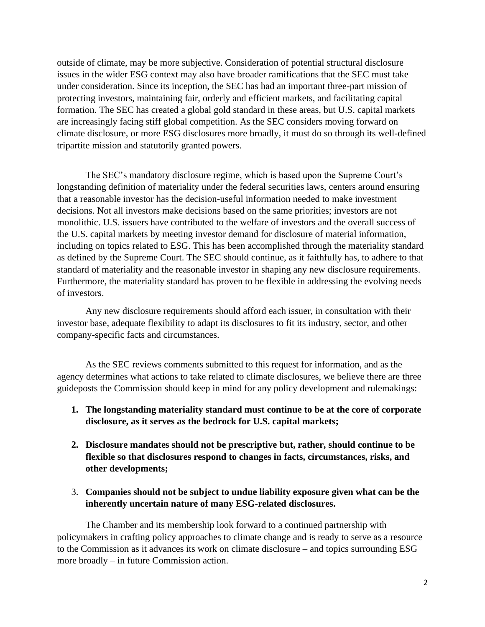outside of climate, may be more subjective. Consideration of potential structural disclosure issues in the wider ESG context may also have broader ramifications that the SEC must take under consideration. Since its inception, the SEC has had an important three-part mission of protecting investors, maintaining fair, orderly and efficient markets, and facilitating capital formation. The SEC has created a global gold standard in these areas, but U.S. capital markets are increasingly facing stiff global competition. As the SEC considers moving forward on climate disclosure, or more ESG disclosures more broadly, it must do so through its well-defined tripartite mission and statutorily granted powers.

The SEC's mandatory disclosure regime, which is based upon the Supreme Court's longstanding definition of materiality under the federal securities laws, centers around ensuring that a reasonable investor has the decision-useful information needed to make investment decisions. Not all investors make decisions based on the same priorities; investors are not monolithic. U.S. issuers have contributed to the welfare of investors and the overall success of the U.S. capital markets by meeting investor demand for disclosure of material information, including on topics related to ESG. This has been accomplished through the materiality standard as defined by the Supreme Court. The SEC should continue, as it faithfully has, to adhere to that standard of materiality and the reasonable investor in shaping any new disclosure requirements. Furthermore, the materiality standard has proven to be flexible in addressing the evolving needs of investors.

Any new disclosure requirements should afford each issuer, in consultation with their investor base, adequate flexibility to adapt its disclosures to fit its industry, sector, and other company-specific facts and circumstances.

As the SEC reviews comments submitted to this request for information, and as the agency determines what actions to take related to climate disclosures, we believe there are three guideposts the Commission should keep in mind for any policy development and rulemakings:

- **1. The longstanding materiality standard must continue to be at the core of corporate disclosure, as it serves as the bedrock for U.S. capital markets;**
- **2. Disclosure mandates should not be prescriptive but, rather, should continue to be flexible so that disclosures respond to changes in facts, circumstances, risks, and other developments;**
- 3. **Companies should not be subject to undue liability exposure given what can be the inherently uncertain nature of many ESG-related disclosures.**

The Chamber and its membership look forward to a continued partnership with policymakers in crafting policy approaches to climate change and is ready to serve as a resource to the Commission as it advances its work on climate disclosure – and topics surrounding ESG more broadly – in future Commission action.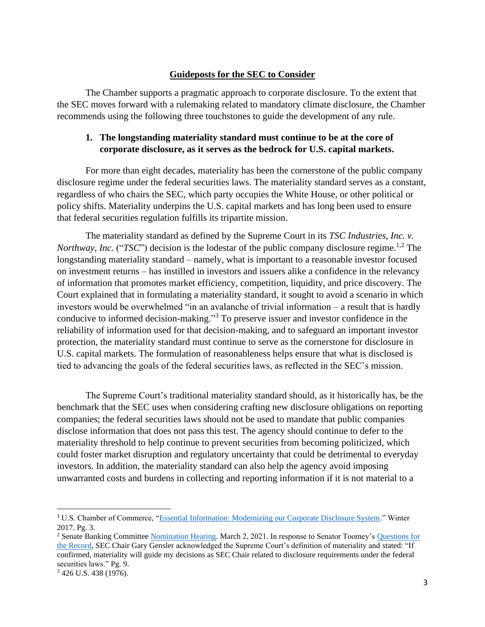### **Guideposts for the SEC to Consider**

The Chamber supports a pragmatic approach to corporate disclosure. To the extent that the SEC moves forward with a rulemaking related to mandatory climate disclosure, the Chamber recommends using the following three touchstones to guide the development of any rule.

## **1. The longstanding materiality standard must continue to be at the core of corporate disclosure, as it serves as the bedrock for U.S. capital markets.**

For more than eight decades, materiality has been the cornerstone of the public company disclosure regime under the federal securities laws. The materiality standard serves as a constant, regardless of who chairs the SEC, which party occupies the White House, or other political or policy shifts. Materiality underpins the U.S. capital markets and has long been used to ensure that federal securities regulation fulfills its tripartite mission.

The materiality standard as defined by the Supreme Court in its *TSC Industries, Inc. v. Northway, Inc.* ("*TSC*") decision is the lodestar of the public company disclosure regime.<sup>1,2</sup> The longstanding materiality standard – namely, what is important to a reasonable investor focused on investment returns – has instilled in investors and issuers alike a confidence in the relevancy of information that promotes market efficiency, competition, liquidity, and price discovery. The Court explained that in formulating a materiality standard, it sought to avoid a scenario in which investors would be overwhelmed "in an avalanche of trivial information – a result that is hardly conducive to informed decision-making."<sup>3</sup> To preserve issuer and investor confidence in the reliability of information used for that decision-making, and to safeguard an important investor protection, the materiality standard must continue to serve as the cornerstone for disclosure in U.S. capital markets. The formulation of reasonableness helps ensure that what is disclosed is tied to advancing the goals of the federal securities laws, as reflected in the SEC's mission.

The Supreme Court's traditional materiality standard should, as it historically has, be the benchmark that the SEC uses when considering crafting new disclosure obligations on reporting companies; the federal securities laws should not be used to mandate that public companies disclose information that does not pass this test. The agency should continue to defer to the materiality threshold to help continue to prevent securities from becoming politicized, which could foster market disruption and regulatory uncertainty that could be detrimental to everyday investors. In addition, the materiality standard can also help the agency avoid imposing unwarranted costs and burdens in collecting and reporting information if it is not material to a

<sup>&</sup>lt;sup>1</sup> U.S. Chamber of Commerce, ["Essential Information: Modernizing our Corporate Disclosure System.](http://www.centerforcapitalmarkets.com/wp-content/uploads/2013/08/U.S.-Chamber-Essential-Information_Materiality-Report-W_FINAL.pdf?x48633)" Winter 2017. Pg. 3.

<sup>2</sup> Senate Banking Committee [Nomination Hearing.](https://www.banking.senate.gov/hearings/02/22/2021/nomination-hearing) March 2, 2021. In response to Senator Toomey's [Questions for](https://www.banking.senate.gov/imo/media/doc/Gensler%20Resp%20to%20QFRs%203-2-21.pdf)  [the Record,](https://www.banking.senate.gov/imo/media/doc/Gensler%20Resp%20to%20QFRs%203-2-21.pdf) SEC Chair Gary Gensler acknowledged the Supreme Court's definition of materiality and stated: "If confirmed, materiality will guide my decisions as SEC Chair related to disclosure requirements under the federal securities laws." Pg. 9.

<sup>3</sup> 426 U.S. 438 (1976).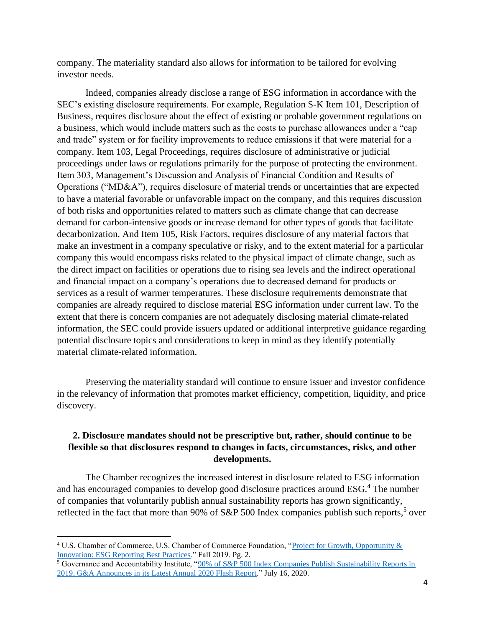company. The materiality standard also allows for information to be tailored for evolving investor needs.

Indeed, companies already disclose a range of ESG information in accordance with the SEC's existing disclosure requirements. For example, Regulation S-K Item 101, Description of Business, requires disclosure about the effect of existing or probable government regulations on a business, which would include matters such as the costs to purchase allowances under a "cap and trade" system or for facility improvements to reduce emissions if that were material for a company. Item 103, Legal Proceedings, requires disclosure of administrative or judicial proceedings under laws or regulations primarily for the purpose of protecting the environment. Item 303, Management's Discussion and Analysis of Financial Condition and Results of Operations ("MD&A"), requires disclosure of material trends or uncertainties that are expected to have a material favorable or unfavorable impact on the company, and this requires discussion of both risks and opportunities related to matters such as climate change that can decrease demand for carbon-intensive goods or increase demand for other types of goods that facilitate decarbonization. And Item 105, Risk Factors, requires disclosure of any material factors that make an investment in a company speculative or risky, and to the extent material for a particular company this would encompass risks related to the physical impact of climate change, such as the direct impact on facilities or operations due to rising sea levels and the indirect operational and financial impact on a company's operations due to decreased demand for products or services as a result of warmer temperatures. These disclosure requirements demonstrate that companies are already required to disclose material ESG information under current law. To the extent that there is concern companies are not adequately disclosing material climate-related information, the SEC could provide issuers updated or additional interpretive guidance regarding potential disclosure topics and considerations to keep in mind as they identify potentially material climate-related information.

Preserving the materiality standard will continue to ensure issuer and investor confidence in the relevancy of information that promotes market efficiency, competition, liquidity, and price discovery.

## **2. Disclosure mandates should not be prescriptive but, rather, should continue to be flexible so that disclosures respond to changes in facts, circumstances, risks, and other developments.**

The Chamber recognizes the increased interest in disclosure related to ESG information and has encouraged companies to develop good disclosure practices around ESG.<sup>4</sup> The number of companies that voluntarily publish annual sustainability reports has grown significantly, reflected in the fact that more than 90% of S&P 500 Index companies publish such reports,<sup>5</sup> over

<sup>4</sup> U.S. Chamber of Commerce, U.S. Chamber of Commerce Foundation, ["Project for Growth, Opportunity &](https://www.projectgo.com/esg-reporting-best-practices/)  [Innovation: ESG Reporting Best Practices.](https://www.projectgo.com/esg-reporting-best-practices/)" Fall 2019. Pg. 2.

<sup>&</sup>lt;sup>5</sup> Governance and Accountability Institute, "90% of S&P 500 Index Companies Publish Sustainability Reports in [2019, G&A Announces in its Latest Annual 2020 Flash Report.](https://www.globenewswire.com/news-release/2020/07/16/2063434/0/en/90-of-S-P-500-Index-Companies-Publish-Sustainability-Reports-in-2019-G-A-Announces-in-its-Latest-Annual-2020-Flash-Report.html)" July 16, 2020.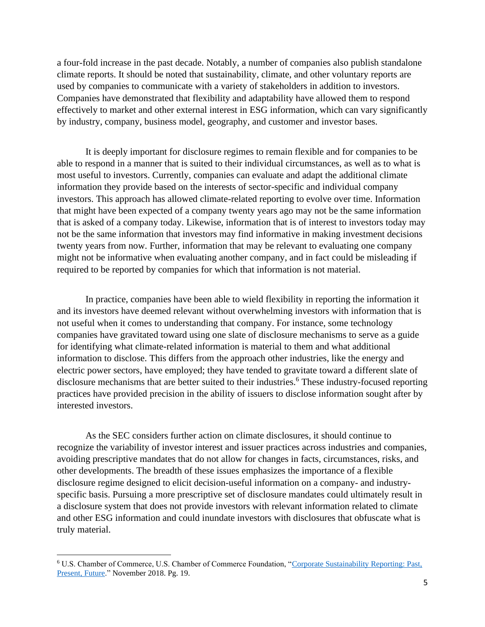a four-fold increase in the past decade. Notably, a number of companies also publish standalone climate reports. It should be noted that sustainability, climate, and other voluntary reports are used by companies to communicate with a variety of stakeholders in addition to investors. Companies have demonstrated that flexibility and adaptability have allowed them to respond effectively to market and other external interest in ESG information, which can vary significantly by industry, company, business model, geography, and customer and investor bases.

It is deeply important for disclosure regimes to remain flexible and for companies to be able to respond in a manner that is suited to their individual circumstances, as well as to what is most useful to investors. Currently, companies can evaluate and adapt the additional climate information they provide based on the interests of sector-specific and individual company investors. This approach has allowed climate-related reporting to evolve over time. Information that might have been expected of a company twenty years ago may not be the same information that is asked of a company today. Likewise, information that is of interest to investors today may not be the same information that investors may find informative in making investment decisions twenty years from now. Further, information that may be relevant to evaluating one company might not be informative when evaluating another company, and in fact could be misleading if required to be reported by companies for which that information is not material.

In practice, companies have been able to wield flexibility in reporting the information it and its investors have deemed relevant without overwhelming investors with information that is not useful when it comes to understanding that company. For instance, some technology companies have gravitated toward using one slate of disclosure mechanisms to serve as a guide for identifying what climate-related information is material to them and what additional information to disclose. This differs from the approach other industries, like the energy and electric power sectors, have employed; they have tended to gravitate toward a different slate of disclosure mechanisms that are better suited to their industries. <sup>6</sup> These industry-focused reporting practices have provided precision in the ability of issuers to disclose information sought after by interested investors.

As the SEC considers further action on climate disclosures, it should continue to recognize the variability of investor interest and issuer practices across industries and companies, avoiding prescriptive mandates that do not allow for changes in facts, circumstances, risks, and other developments. The breadth of these issues emphasizes the importance of a flexible disclosure regime designed to elicit decision-useful information on a company- and industryspecific basis. Pursuing a more prescriptive set of disclosure mandates could ultimately result in a disclosure system that does not provide investors with relevant information related to climate and other ESG information and could inundate investors with disclosures that obfuscate what is truly material.

<sup>6</sup> U.S. Chamber of Commerce, U.S. Chamber of Commerce Foundation, ["Corporate Sustainability Reporting: Past,](https://www.uschamberfoundation.org/sites/default/files/Corporate%20Sustainability%20Reporting%20Past%20Present%20Future.pdf)  [Present, Future.](https://www.uschamberfoundation.org/sites/default/files/Corporate%20Sustainability%20Reporting%20Past%20Present%20Future.pdf)" November 2018. Pg. 19.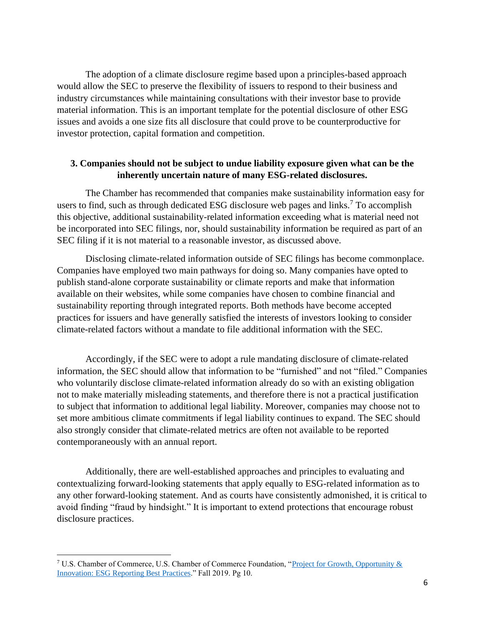The adoption of a climate disclosure regime based upon a principles-based approach would allow the SEC to preserve the flexibility of issuers to respond to their business and industry circumstances while maintaining consultations with their investor base to provide material information. This is an important template for the potential disclosure of other ESG issues and avoids a one size fits all disclosure that could prove to be counterproductive for investor protection, capital formation and competition.

## **3. Companies should not be subject to undue liability exposure given what can be the inherently uncertain nature of many ESG-related disclosures.**

The Chamber has recommended that companies make sustainability information easy for users to find, such as through dedicated ESG disclosure web pages and links.<sup>7</sup> To accomplish this objective, additional sustainability-related information exceeding what is material need not be incorporated into SEC filings, nor, should sustainability information be required as part of an SEC filing if it is not material to a reasonable investor, as discussed above.

Disclosing climate-related information outside of SEC filings has become commonplace. Companies have employed two main pathways for doing so. Many companies have opted to publish stand-alone corporate sustainability or climate reports and make that information available on their websites, while some companies have chosen to combine financial and sustainability reporting through integrated reports. Both methods have become accepted practices for issuers and have generally satisfied the interests of investors looking to consider climate-related factors without a mandate to file additional information with the SEC.

Accordingly, if the SEC were to adopt a rule mandating disclosure of climate-related information, the SEC should allow that information to be "furnished" and not "filed." Companies who voluntarily disclose climate-related information already do so with an existing obligation not to make materially misleading statements, and therefore there is not a practical justification to subject that information to additional legal liability. Moreover, companies may choose not to set more ambitious climate commitments if legal liability continues to expand. The SEC should also strongly consider that climate-related metrics are often not available to be reported contemporaneously with an annual report.

Additionally, there are well-established approaches and principles to evaluating and contextualizing forward-looking statements that apply equally to ESG-related information as to any other forward-looking statement. And as courts have consistently admonished, it is critical to avoid finding "fraud by hindsight." It is important to extend protections that encourage robust disclosure practices.

<sup>7</sup> U.S. Chamber of Commerce, U.S. Chamber of Commerce Foundation, ["Project for Growth, Opportunity &](https://www.projectgo.com/esg-reporting-best-practices/)  [Innovation: ESG Reporting Best Practices.](https://www.projectgo.com/esg-reporting-best-practices/)" Fall 2019. Pg 10.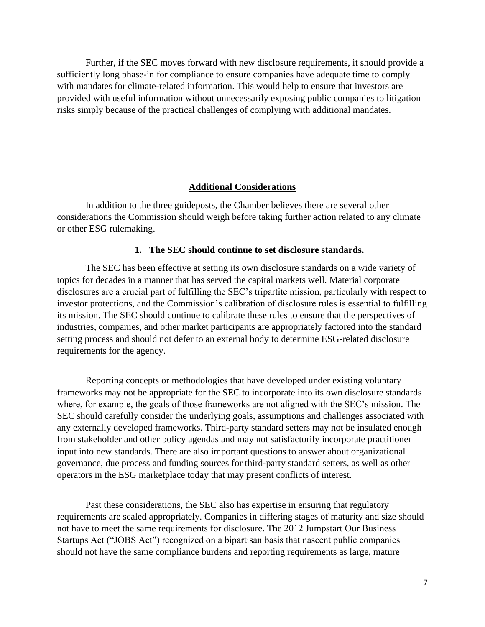Further, if the SEC moves forward with new disclosure requirements, it should provide a sufficiently long phase-in for compliance to ensure companies have adequate time to comply with mandates for climate-related information. This would help to ensure that investors are provided with useful information without unnecessarily exposing public companies to litigation risks simply because of the practical challenges of complying with additional mandates.

#### **Additional Considerations**

In addition to the three guideposts, the Chamber believes there are several other considerations the Commission should weigh before taking further action related to any climate or other ESG rulemaking.

#### **1. The SEC should continue to set disclosure standards.**

The SEC has been effective at setting its own disclosure standards on a wide variety of topics for decades in a manner that has served the capital markets well. Material corporate disclosures are a crucial part of fulfilling the SEC's tripartite mission, particularly with respect to investor protections, and the Commission's calibration of disclosure rules is essential to fulfilling its mission. The SEC should continue to calibrate these rules to ensure that the perspectives of industries, companies, and other market participants are appropriately factored into the standard setting process and should not defer to an external body to determine ESG-related disclosure requirements for the agency.

Reporting concepts or methodologies that have developed under existing voluntary frameworks may not be appropriate for the SEC to incorporate into its own disclosure standards where, for example, the goals of those frameworks are not aligned with the SEC's mission. The SEC should carefully consider the underlying goals, assumptions and challenges associated with any externally developed frameworks. Third-party standard setters may not be insulated enough from stakeholder and other policy agendas and may not satisfactorily incorporate practitioner input into new standards. There are also important questions to answer about organizational governance, due process and funding sources for third-party standard setters, as well as other operators in the ESG marketplace today that may present conflicts of interest.

Past these considerations, the SEC also has expertise in ensuring that regulatory requirements are scaled appropriately. Companies in differing stages of maturity and size should not have to meet the same requirements for disclosure. The 2012 Jumpstart Our Business Startups Act ("JOBS Act") recognized on a bipartisan basis that nascent public companies should not have the same compliance burdens and reporting requirements as large, mature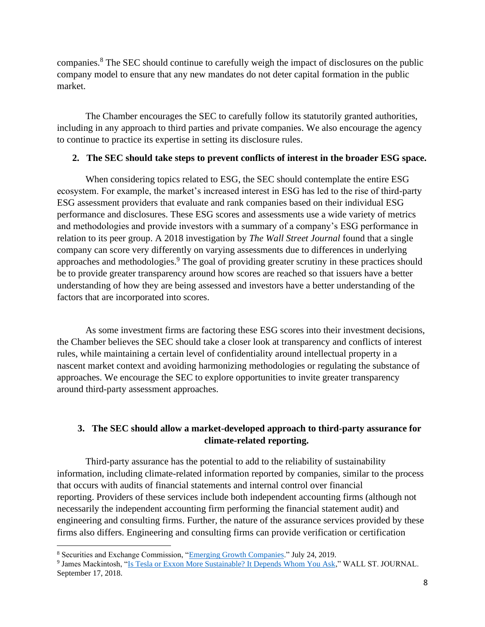companies.<sup>8</sup> The SEC should continue to carefully weigh the impact of disclosures on the public company model to ensure that any new mandates do not deter capital formation in the public market.

The Chamber encourages the SEC to carefully follow its statutorily granted authorities, including in any approach to third parties and private companies. We also encourage the agency to continue to practice its expertise in setting its disclosure rules.

## **2. The SEC should take steps to prevent conflicts of interest in the broader ESG space.**

When considering topics related to ESG, the SEC should contemplate the entire ESG ecosystem. For example, the market's increased interest in ESG has led to the rise of third-party ESG assessment providers that evaluate and rank companies based on their individual ESG performance and disclosures. These ESG scores and assessments use a wide variety of metrics and methodologies and provide investors with a summary of a company's ESG performance in relation to its peer group. A 2018 investigation by *The Wall Street Journal* found that a single company can score very differently on varying assessments due to differences in underlying approaches and methodologies.<sup>9</sup> The goal of providing greater scrutiny in these practices should be to provide greater transparency around how scores are reached so that issuers have a better understanding of how they are being assessed and investors have a better understanding of the factors that are incorporated into scores.

As some investment firms are factoring these ESG scores into their investment decisions, the Chamber believes the SEC should take a closer look at transparency and conflicts of interest rules, while maintaining a certain level of confidentiality around intellectual property in a nascent market context and avoiding harmonizing methodologies or regulating the substance of approaches. We encourage the SEC to explore opportunities to invite greater transparency around third-party assessment approaches.

## **3. The SEC should allow a market-developed approach to third-party assurance for climate-related reporting.**

Third-party assurance has the potential to add to the reliability of sustainability information, including climate-related information reported by companies, similar to the process that occurs with audits of financial statements and internal control over financial reporting. Providers of these services include both independent accounting firms (although not necessarily the independent accounting firm performing the financial statement audit) and engineering and consulting firms. Further, the nature of the assurance services provided by these firms also differs. Engineering and consulting firms can provide verification or certification

<sup>8</sup> Securities and Exchange Commission, ["Emerging Growth Companies.](https://www.sec.gov/smallbusiness/goingpublic/EGC)" July 24, 2019.

<sup>&</sup>lt;sup>9</sup> James Mackintosh, ["Is Tesla or Exxon More Sustainable? It Depends Whom You Ask,](https://www.wsj.com/articles/is-tesla-or-exxon-more-sustainable-it-depends-whom-you-ask-1537199931)" WALL ST. JOURNAL. September 17, 2018.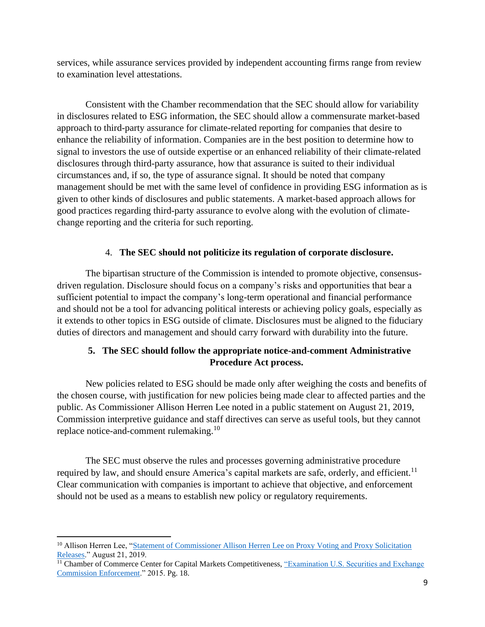services, while assurance services provided by independent accounting firms range from review to examination level attestations.

Consistent with the Chamber recommendation that the SEC should allow for variability in disclosures related to ESG information, the SEC should allow a commensurate market-based approach to third-party assurance for climate-related reporting for companies that desire to enhance the reliability of information. Companies are in the best position to determine how to signal to investors the use of outside expertise or an enhanced reliability of their climate-related disclosures through third-party assurance, how that assurance is suited to their individual circumstances and, if so, the type of assurance signal. It should be noted that company management should be met with the same level of confidence in providing ESG information as is given to other kinds of disclosures and public statements. A market-based approach allows for good practices regarding third-party assurance to evolve along with the evolution of climatechange reporting and the criteria for such reporting.

## 4. **The SEC should not politicize its regulation of corporate disclosure.**

The bipartisan structure of the Commission is intended to promote objective, consensusdriven regulation. Disclosure should focus on a company's risks and opportunities that bear a sufficient potential to impact the company's long-term operational and financial performance and should not be a tool for advancing political interests or achieving policy goals, especially as it extends to other topics in ESG outside of climate. Disclosures must be aligned to the fiduciary duties of directors and management and should carry forward with durability into the future.

# **5. The SEC should follow the appropriate notice-and-comment Administrative Procedure Act process.**

New policies related to ESG should be made only after weighing the costs and benefits of the chosen course, with justification for new policies being made clear to affected parties and the public. As Commissioner Allison Herren Lee noted in a public statement on August 21, 2019, Commission interpretive guidance and staff directives can serve as useful tools, but they cannot replace notice-and-comment rulemaking.<sup>10</sup>

The SEC must observe the rules and processes governing administrative procedure required by law, and should ensure America's capital markets are safe, orderly, and efficient.<sup>11</sup> Clear communication with companies is important to achieve that objective, and enforcement should not be used as a means to establish new policy or regulatory requirements.

<sup>&</sup>lt;sup>10</sup> Allison Herren Lee, "Statement of Commissioner Allison Herren Lee on Proxy Voting and Proxy Solicitation [Releases.](https://www.sec.gov/news/public-statement/statement-lee-082119)" August 21, 2019.

<sup>&</sup>lt;sup>11</sup> Chamber of Commerce Center for Capital Markets Competitiveness, "Examination U.S. Securities and Exchange [Commission Enforcement.](https://www.uschamber.com/press-release/us-chamber-s-ccmc-releases-report-sec-enforcement-practices-provides-recommendations)" 2015. Pg. 18.